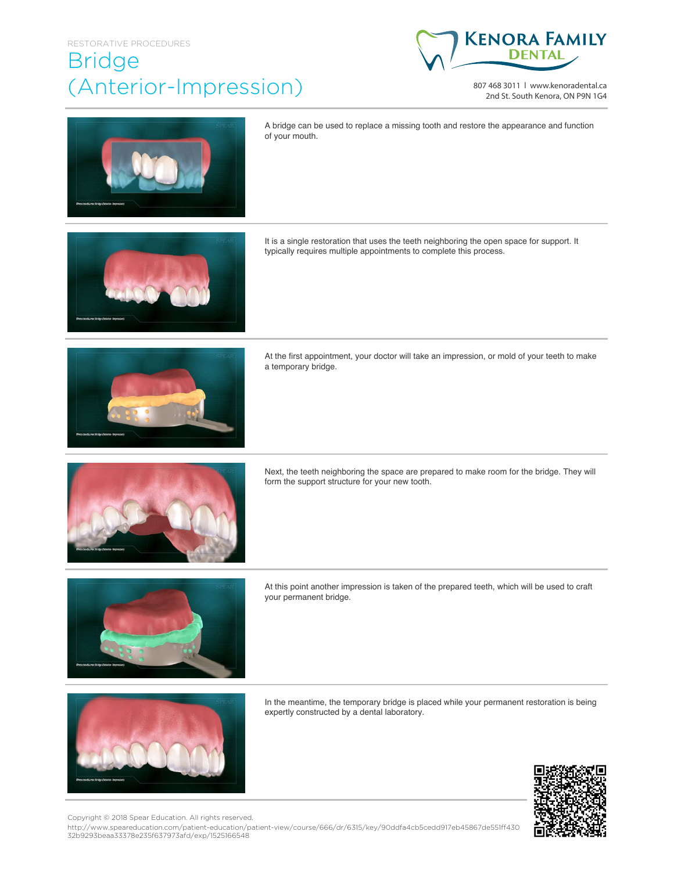## RESTORATIVE PROCEDURES

## Bridge (Anterior-Impression)



807 468 3011 | www.kenoradental.ca 2nd St. South Kenora, ON P9N 1G4



A bridge can be used to replace a missing tooth and restore the appearance and function of your mouth.

It is a single restoration that uses the teeth neighboring the open space for support. It typically requires multiple appointments to complete this process.



At the first appointment, your doctor will take an impression, or mold of your teeth to make a temporary bridge.



Next, the teeth neighboring the space are prepared to make room for the bridge. They will form the support structure for your new tooth.



At this point another impression is taken of the prepared teeth, which will be used to craft your permanent bridge.



In the meantime, the temporary bridge is placed while your permanent restoration is being expertly constructed by a dental laboratory.



Copyright © 2018 Spear Education. All rights reserved.

http://www.speareducation.com/patient-education/patient-view/course/666/dr/6315/key/90ddfa4cb5cedd917eb45867de551ff430 32b9293beaa33378e235f637973afd/exp/1525166548